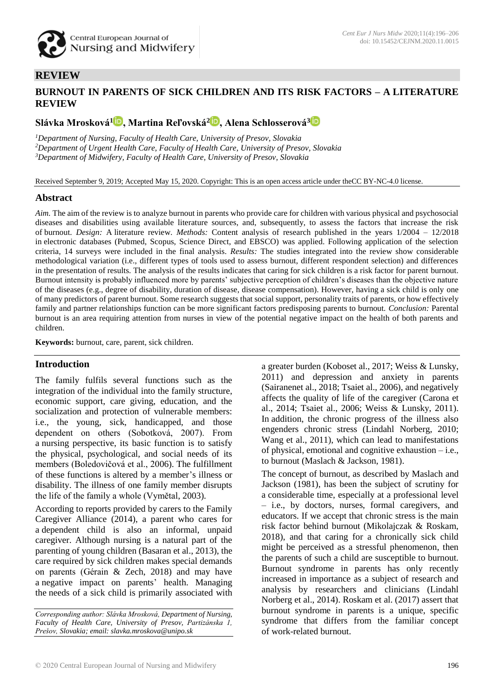

## **REVIEW**

## **BURNOUT IN PARENTS OF SICK CHILDREN AND ITS RISK FACTORS – A LITERATURE REVIEW**

# **Slávka Mrosková[1](https://orcid.org/0000-0002-5070-0027) , Martina Reľovská<sup>2</sup> [,](https://orcid.org/0000-0001-7456-873X) Alena Schlosserová<sup>3</sup>**

*<sup>1</sup>Department of Nursing, Faculty of Health Care, University of Presov, Slovakia <sup>2</sup>Department of Urgent Health Care, Faculty of Health Care, University of Presov, Slovakia <sup>3</sup>Department of Midwifery, Faculty of Health Care, University of Presov, Slovakia*

Received September 9, 2019; Accepted May 15, 2020. Copyright: This is an open access article under theCC BY-NC-4.0 license.

#### **Abstract**

*Aim.* The aim of the review is to analyze burnout in parents who provide care for children with various physical and psychosocial diseases and disabilities using available literature sources, and, subsequently, to assess the factors that increase the risk of burnout. *Design:* A literature review. *Methods:* Content analysis of research published in the years 1/2004 – 12/2018 in electronic databases (Pubmed, Scopus, Science Direct, and EBSCO) was applied. Following application of the selection criteria, 14 surveys were included in the final analysis. *Results:* The studies integrated into the review show considerable methodological variation (i.e., different types of tools used to assess burnout, different respondent selection) and differences in the presentation of results. The analysis of the results indicates that caring for sick children is a risk factor for parent burnout. Burnout intensity is probably influenced more by parents' subjective perception of children's diseases than the objective nature of the diseases (e.g., degree of disability, duration of disease, disease compensation). However, having a sick child is only one of many predictors of parent burnout. Some research suggests that social support, personality traits of parents, or how effectively family and partner relationships function can be more significant factors predisposing parents to burnout. *Conclusion:* Parental burnout is an area requiring attention from nurses in view of the potential negative impact on the health of both parents and children.

**Keywords:** burnout, care, parent, sick children.

## **Introduction**

The family fulfils several functions such as the integration of the individual into the family structure, economic support, care giving, education, and the socialization and protection of vulnerable members: i.e., the young, sick, handicapped, and those dependent on others (Sobotková, 2007). From a nursing perspective, its basic function is to satisfy the physical, psychological, and social needs of its members (Boledovičová et al., 2006). The fulfillment of these functions is altered by a member's illness or disability. The illness of one family member disrupts the life of the family a whole (Vymětal, 2003).

According to reports provided by carers to the Family Caregiver Alliance (2014), a parent who cares for a dependent child is also an informal, unpaid caregiver. Although nursing is a natural part of the parenting of young children (Basaran et al., 2013), the care required by sick children makes special demands on parents (Gérain & Zech, 2018) and may have a negative impact on parents' health. Managing the needs of a sick child is primarily associated with a greater burden (Koboset al., 2017; Weiss & Lunsky, 2011) and depression and anxiety in parents (Sairanenet al., 2018; Tsaiet al., 2006), and negatively affects the quality of life of the caregiver (Carona et al., 2014; Tsaiet al., 2006; Weiss & Lunsky, 2011). In addition, the chronic progress of the illness also engenders chronic stress (Lindahl Norberg, 2010; Wang et al., 2011), which can lead to manifestations of physical, emotional and cognitive exhaustion – i.e., to burnout (Maslach & Jackson, 1981).

The concept of burnout, as described by Maslach and Jackson (1981), has been the subject of scrutiny for a considerable time, especially at a professional level – i.e., by doctors, nurses, formal caregivers, and educators. If we accept that chronic stress is the main risk factor behind burnout (Mikolajczak & Roskam, 2018), and that caring for a chronically sick child might be perceived as a stressful phenomenon, then the parents of such a child are susceptible to burnout. Burnout syndrome in parents has only recently increased in importance as a subject of research and analysis by researchers and clinicians (Lindahl Norberg et al., 2014). Roskam et al. (2017) assert that burnout syndrome in parents is a unique, specific syndrome that differs from the familiar concept of work-related burnout.

*Corresponding author: Slávka Mrosková, Department of Nursing, Faculty of Health Care, University of Presov, Partizánska 1, Prešov, Slovakia; email[: slavka.mroskova@unipo.sk](mailto:slavka.mroskova@unipo.sk)*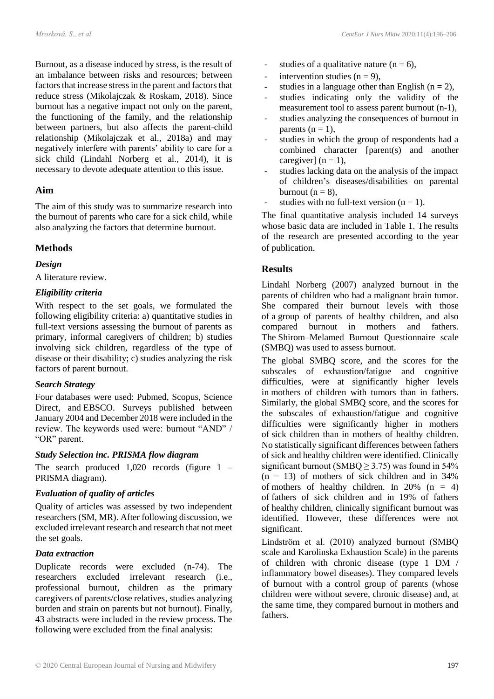Burnout, as a disease induced by stress, is the result of an imbalance between risks and resources; between factors that increase stress in the parent and factors that reduce stress (Mikolajczak & Roskam, 2018). Since burnout has a negative impact not only on the parent, the functioning of the family, and the relationship between partners, but also affects the parent-child relationship (Mikolajczak et al., 2018a) and may negatively interfere with parents' ability to care for a sick child (Lindahl Norberg et al., 2014), it is necessary to devote adequate attention to this issue.

#### **Aim**

The aim of this study was to summarize research into the burnout of parents who care for a sick child, while also analyzing the factors that determine burnout.

## **Methods**

#### *Design*

A literature review.

#### *Eligibility criteria*

With respect to the set goals, we formulated the following eligibility criteria: a) quantitative studies in full-text versions assessing the burnout of parents as primary, informal caregivers of children; b) studies involving sick children, regardless of the type of disease or their disability; c) studies analyzing the risk factors of parent burnout.

#### *Search Strategy*

Four databases were used: Pubmed, Scopus, Science Direct, and EBSCO. Surveys published between January 2004 and December 2018 were included in the review. The keywords used were: burnout "AND" / "OR" parent.

## *Study Selection inc. PRISMA flow diagram*

The search produced 1,020 records (figure 1 – PRISMA diagram).

## *Evaluation of quality of articles*

Quality of articles was assessed by two independent researchers (SM, MR). After following discussion, we excluded irrelevant research and research that not meet the set goals.

#### *Data extraction*

Duplicate records were excluded (n-74). The researchers excluded irrelevant research (i.e., professional burnout, children as the primary caregivers of parents/close relatives, studies analyzing burden and strain on parents but not burnout). Finally, 43 abstracts were included in the review process. The following were excluded from the final analysis:

- studies of a qualitative nature ( $n = 6$ ),
- intervention studies  $(n = 9)$ ,
- studies in a language other than English ( $n = 2$ ),
- studies indicating only the validity of the measurement tool to assess parent burnout (n-1),
- studies analyzing the consequences of burnout in parents  $(n = 1)$ ,
- studies in which the group of respondents had a combined character [parent(s) and another caregiver]  $(n = 1)$ ,
- studies lacking data on the analysis of the impact of children's diseases/disabilities on parental burnout  $(n = 8)$ .
- studies with no full-text version  $(n = 1)$ .

The final quantitative analysis included 14 surveys whose basic data are included in Table 1. The results of the research are presented according to the year of publication.

## **Results**

Lindahl Norberg (2007) analyzed burnout in the parents of children who had a malignant brain tumor. She compared their burnout levels with those of a group of parents of healthy children, and also compared burnout in mothers and fathers. The Shirom–Melamed Burnout Questionnaire scale (SMBQ) was used to assess burnout.

The global SMBQ score, and the scores for the subscales of exhaustion/fatigue and cognitive difficulties, were at significantly higher levels in mothers of children with tumors than in fathers. Similarly, the global SMBQ score, and the scores for the subscales of exhaustion/fatigue and cognitive difficulties were significantly higher in mothers of sick children than in mothers of healthy children. No statistically significant differences between fathers of sick and healthy children were identified. Clinically significant burnout (SMBQ  $\geq$  3.75) was found in 54%  $(n = 13)$  of mothers of sick children and in 34% of mothers of healthy children. In 20%  $(n = 4)$ of fathers of sick children and in 19% of fathers of healthy children, clinically significant burnout was identified. However, these differences were not significant.

Lindström et al. (2010) analyzed burnout (SMBQ scale and Karolinska Exhaustion Scale) in the parents of children with chronic disease (type 1 DM / inflammatory bowel diseases). They compared levels of burnout with a control group of parents (whose children were without severe, chronic disease) and, at the same time, they compared burnout in mothers and fathers.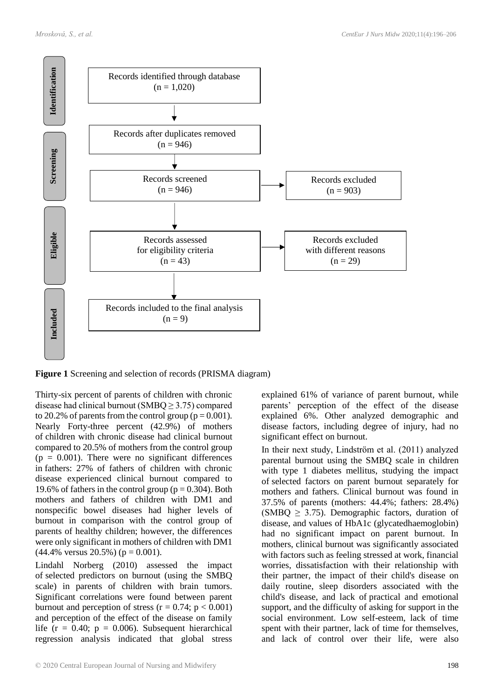

**Figure 1** Screening and selection of records (PRISMA diagram)

Thirty-six percent of parents of children with chronic disease had clinical burnout ( $\text{SMBO} \geq 3.75$ ) compared to 20.2% of parents from the control group ( $p = 0.001$ ). Nearly Forty-three percent (42.9%) of mothers of children with chronic disease had clinical burnout compared to 20.5% of mothers from the control group  $(p = 0.001)$ . There were no significant differences in fathers: 27% of fathers of children with chronic disease experienced clinical burnout compared to 19.6% of fathers in the control group ( $p = 0.304$ ). Both mothers and fathers of children with DM1 and nonspecific bowel diseases had higher levels of burnout in comparison with the control group of parents of healthy children; however, the differences were only significant in mothers of children with DM1  $(44.4\%$  versus 20.5%) ( $p = 0.001$ ).

Lindahl Norberg (2010) assessed the impact of selected predictors on burnout (using the SMBQ scale) in parents of children with brain tumors. Significant correlations were found between parent burnout and perception of stress  $(r = 0.74; p < 0.001)$ and perception of the effect of the disease on family life ( $r = 0.40$ ;  $p = 0.006$ ). Subsequent hierarchical regression analysis indicated that global stress explained 61% of variance of parent burnout, while parents' perception of the effect of the disease explained 6%. Other analyzed demographic and disease factors, including degree of injury, had no significant effect on burnout.

In their next study, Lindström et al. (2011) analyzed parental burnout using the SMBQ scale in children with type 1 diabetes mellitus, studying the impact of selected factors on parent burnout separately for mothers and fathers. Clinical burnout was found in 37.5% of parents (mothers: 44.4%; fathers: 28.4%) (SMBQ  $\geq$  3.75). Demographic factors, duration of disease, and values of HbA1c (glycatedhaemoglobin) had no significant impact on parent burnout. In mothers, clinical burnout was significantly associated with factors such as feeling stressed at work, financial worries, dissatisfaction with their relationship with their partner, the impact of their child's disease on daily routine, sleep disorders associated with the child's disease, and lack of practical and emotional support, and the difficulty of asking for support in the social environment. Low self-esteem, lack of time spent with their partner, lack of time for themselves, and lack of control over their life, were also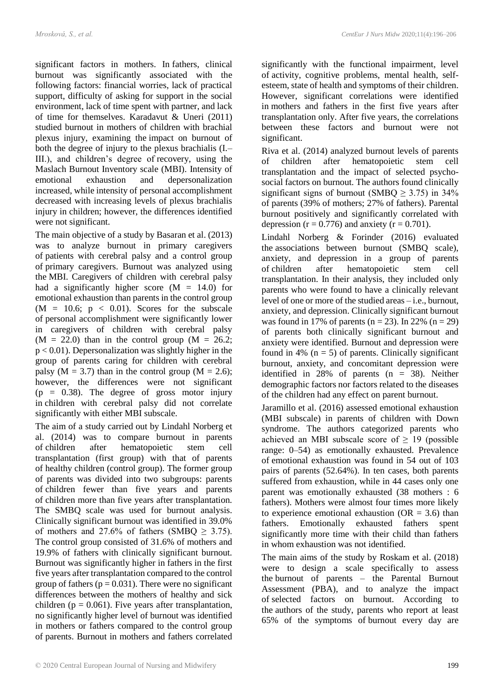significant factors in mothers. In fathers, clinical burnout was significantly associated with the following factors: financial worries, lack of practical support, difficulty of asking for support in the social environment, lack of time spent with partner, and lack of time for themselves. Karadavut & Uneri (2011) studied burnout in mothers of children with brachial plexus injury, examining the impact on burnout of both the degree of injury to the plexus brachialis (I.– III.), and children's degree of recovery, using the Maslach Burnout Inventory scale (MBI). Intensity of emotional exhaustion and depersonalization increased, while intensity of personal accomplishment decreased with increasing levels of plexus brachialis injury in children; however, the differences identified were not significant.

The main objective of a study by Basaran et al. (2013) was to analyze burnout in primary caregivers of patients with cerebral palsy and a control group of primary caregivers. Burnout was analyzed using the MBI. Caregivers of children with cerebral palsy had a significantly higher score  $(M = 14.0)$  for emotional exhaustion than parents in the control group  $(M = 10.6; p < 0.01)$ . Scores for the subscale of personal accomplishment were significantly lower in caregivers of children with cerebral palsy  $(M = 22.0)$  than in the control group  $(M = 26.2;$  $p < 0.01$ ). Depersonalization was slightly higher in the group of parents caring for children with cerebral palsy ( $M = 3.7$ ) than in the control group ( $M = 2.6$ ); however, the differences were not significant  $(p = 0.38)$ . The degree of gross motor injury in children with cerebral palsy did not correlate significantly with either MBI subscale.

The aim of a study carried out by Lindahl Norberg et al. (2014) was to compare burnout in parents of children after hematopoietic stem cell transplantation (first group) with that of parents of healthy children (control group). The former group of parents was divided into two subgroups: parents of children fewer than five years and parents of children more than five years after transplantation. The SMBQ scale was used for burnout analysis. Clinically significant burnout was identified in 39.0% of mothers and 27.6% of fathers (SMBQ  $\geq$  3.75). The control group consisted of 31.6% of mothers and 19.9% of fathers with clinically significant burnout. Burnout was significantly higher in fathers in the first five years after transplantation compared to the control group of fathers ( $p = 0.031$ ). There were no significant differences between the mothers of healthy and sick children ( $p = 0.061$ ). Five years after transplantation, no significantly higher level of burnout was identified in mothers or fathers compared to the control group of parents. Burnout in mothers and fathers correlated significantly with the functional impairment, level of activity, cognitive problems, mental health, selfesteem, state of health and symptoms of their children. However, significant correlations were identified in mothers and fathers in the first five years after transplantation only. After five years, the correlations between these factors and burnout were not significant.

Riva et al. (2014) analyzed burnout levels of parents of children after hematopoietic stem cell transplantation and the impact of selected psychosocial factors on burnout. The authors found clinically significant signs of burnout (SMBQ  $\geq$  3.75) in 34% of parents (39% of mothers; 27% of fathers). Parental burnout positively and significantly correlated with depression ( $r = 0.776$ ) and anxiety ( $r = 0.701$ ).

Lindahl Norberg & Forinder (2016) evaluated the associations between burnout (SMBQ scale), anxiety, and depression in a group of parents of children after hematopoietic stem cell transplantation. In their analysis, they included only parents who were found to have a clinically relevant level of one or more of the studied areas – i.e., burnout, anxiety, and depression. Clinically significant burnout was found in 17% of parents ( $n = 23$ ). In 22% ( $n = 29$ ) of parents both clinically significant burnout and anxiety were identified. Burnout and depression were found in 4% ( $n = 5$ ) of parents. Clinically significant burnout, anxiety, and concomitant depression were identified in 28% of parents (n = 38). Neither demographic factors nor factors related to the diseases of the children had any effect on parent burnout.

Jaramillo et al. (2016) assessed emotional exhaustion (MBI subscale) in parents of children with Down syndrome. The authors categorized parents who achieved an MBI subscale score of  $\geq$  19 (possible range: 0–54) as emotionally exhausted. Prevalence of emotional exhaustion was found in 54 out of 103 pairs of parents (52.64%). In ten cases, both parents suffered from exhaustion, while in 44 cases only one parent was emotionally exhausted (38 mothers : 6 fathers). Mothers were almost four times more likely to experience emotional exhaustion ( $OR = 3.6$ ) than fathers. Emotionally exhausted fathers spent significantly more time with their child than fathers in whom exhaustion was not identified.

The main aims of the study by Roskam et al. (2018) were to design a scale specifically to assess the burnout of parents – the Parental Burnout Assessment (PBA), and to analyze the impact of selected factors on burnout. According to the authors of the study, parents who report at least 65% of the symptoms of burnout every day are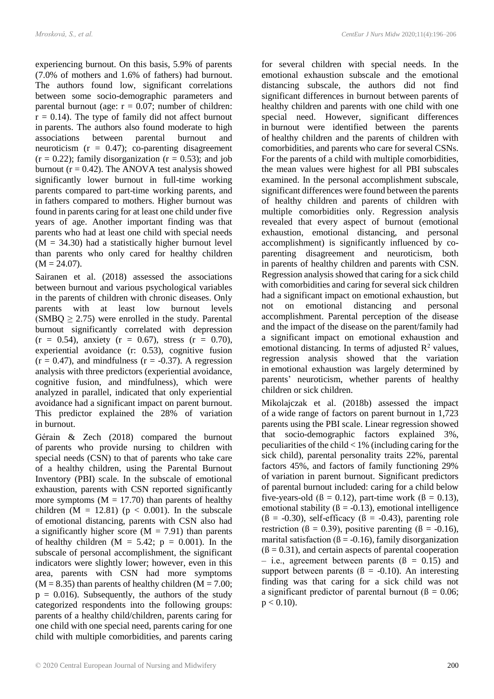experiencing burnout. On this basis, 5.9% of parents (7.0% of mothers and 1.6% of fathers) had burnout. The authors found low, significant correlations between some socio-demographic parameters and parental burnout (age:  $r = 0.07$ ; number of children:  $r = 0.14$ ). The type of family did not affect burnout in parents. The authors also found moderate to high associations between parental burnout and neuroticism  $(r = 0.47)$ ; co-parenting disagreement  $(r = 0.22)$ ; family disorganization  $(r = 0.53)$ ; and job burnout ( $r = 0.42$ ). The ANOVA test analysis showed significantly lower burnout in full-time working parents compared to part-time working parents, and in fathers compared to mothers. Higher burnout was found in parents caring for at least one child under five years of age. Another important finding was that parents who had at least one child with special needs  $(M = 34.30)$  had a statistically higher burnout level than parents who only cared for healthy children  $(M = 24.07)$ .

Sairanen et al. (2018) assessed the associations between burnout and various psychological variables in the parents of children with chronic diseases. Only parents with at least low burnout levels  $(SMBQ \ge 2.75)$  were enrolled in the study. Parental burnout significantly correlated with depression  $(r = 0.54)$ , anxiety  $(r = 0.67)$ , stress  $(r = 0.70)$ , experiential avoidance (r: 0.53), cognitive fusion  $(r = 0.47)$ , and mindfulness  $(r = -0.37)$ . A regression analysis with three predictors (experiential avoidance, cognitive fusion, and mindfulness), which were analyzed in parallel, indicated that only experiential avoidance had a significant impact on parent burnout. This predictor explained the 28% of variation in burnout.

Gérain & Zech (2018) compared the burnout of parents who provide nursing to children with special needs (CSN) to that of parents who take care of a healthy children, using the Parental Burnout Inventory (PBI) scale. In the subscale of emotional exhaustion, parents with CSN reported significantly more symptoms  $(M = 17.70)$  than parents of healthy children (M = 12.81) ( $p < 0.001$ ). In the subscale of emotional distancing, parents with CSN also had a significantly higher score  $(M = 7.91)$  than parents of healthy children  $(M = 5.42; p = 0.001)$ . In the subscale of personal accomplishment, the significant indicators were slightly lower; however, even in this area, parents with CSN had more symptoms  $(M = 8.35)$  than parents of healthy children  $(M = 7.00;$  $p = 0.016$ . Subsequently, the authors of the study categorized respondents into the following groups: parents of a healthy child/children, parents caring for one child with one special need, parents caring for one child with multiple comorbidities, and parents caring

for several children with special needs. In the emotional exhaustion subscale and the emotional distancing subscale, the authors did not find significant differences in burnout between parents of healthy children and parents with one child with one special need. However, significant differences in burnout were identified between the parents of healthy children and the parents of children with comorbidities, and parents who care for several CSNs. For the parents of a child with multiple comorbidities, the mean values were highest for all PBI subscales examined. In the personal accomplishment subscale, significant differences were found between the parents of healthy children and parents of children with multiple comorbidities only. Regression analysis revealed that every aspect of burnout (emotional exhaustion, emotional distancing, and personal accomplishment) is significantly influenced by coparenting disagreement and neuroticism, both in parents of healthy children and parents with CSN. Regression analysis showed that caring for a sick child with comorbidities and caring for several sick children had a significant impact on emotional exhaustion, but not on emotional distancing and personal accomplishment. Parental perception of the disease and the impact of the disease on the parent/family had a significant impact on emotional exhaustion and emotional distancing. In terms of adjusted  $\mathbb{R}^2$  values, regression analysis showed that the variation in emotional exhaustion was largely determined by parents' neuroticism, whether parents of healthy children or sick children.

Mikolajczak et al. (2018b) assessed the impact of a wide range of factors on parent burnout in 1,723 parents using the PBI scale. Linear regression showed that socio-demographic factors explained 3%, peculiarities of the child < 1% (including caring for the sick child), parental personality traits 22%, parental factors 45%, and factors of family functioning 29% of variation in parent burnout. Significant predictors of parental burnout included: caring for a child below five-years-old ( $\beta = 0.12$ ), part-time work ( $\beta = 0.13$ ), emotional stability ( $\beta = -0.13$ ), emotional intelligence  $(\beta = -0.30)$ , self-efficacy  $(\beta = -0.43)$ , parenting role restriction ( $\beta = 0.39$ ), positive parenting ( $\beta = -0.16$ ), marital satisfaction ( $\beta$  = -0.16), family disorganization  $(β = 0.31)$ , and certain aspects of parental cooperation – i.e., agreement between parents  $(\beta = 0.15)$  and support between parents ( $\beta$  = -0.10). An interesting finding was that caring for a sick child was not a significant predictor of parental burnout ( $\beta = 0.06$ ;  $p < 0.10$ ).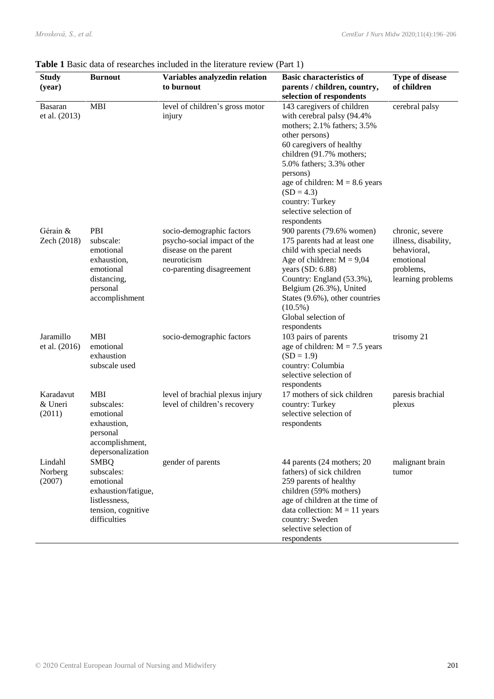| <b>Study</b><br>(year)          | <b>Burnout</b>                                                                                                       | Variables analyzedin relation<br>to burnout                                                                                   | <b>Basic characteristics of</b><br>parents / children, country,<br>selection of respondents                                                                                                                                                                                                                               | <b>Type of disease</b><br>of children                                                                 |
|---------------------------------|----------------------------------------------------------------------------------------------------------------------|-------------------------------------------------------------------------------------------------------------------------------|---------------------------------------------------------------------------------------------------------------------------------------------------------------------------------------------------------------------------------------------------------------------------------------------------------------------------|-------------------------------------------------------------------------------------------------------|
| <b>Basaran</b><br>et al. (2013) | <b>MBI</b>                                                                                                           | level of children's gross motor<br>injury                                                                                     | 143 caregivers of children<br>with cerebral palsy (94.4%<br>mothers; 2.1% fathers; 3.5%<br>other persons)<br>60 caregivers of healthy<br>children (91.7% mothers;<br>5.0% fathers; 3.3% other<br>persons)<br>age of children: $M = 8.6$ years<br>$(SD = 4.3)$<br>country: Turkey<br>selective selection of<br>respondents | cerebral palsy                                                                                        |
| Gérain &<br>Zech (2018)         | PBI<br>subscale:<br>emotional<br>exhaustion,<br>emotional<br>distancing,<br>personal<br>accomplishment               | socio-demographic factors<br>psycho-social impact of the<br>disease on the parent<br>neuroticism<br>co-parenting disagreement | 900 parents (79.6% women)<br>175 parents had at least one<br>child with special needs<br>Age of children: $M = 9,04$<br>years (SD: 6.88)<br>Country: England (53.3%),<br>Belgium (26.3%), United<br>States (9.6%), other countries<br>$(10.5\%)$<br>Global selection of<br>respondents                                    | chronic, severe<br>illness, disability,<br>behavioral,<br>emotional<br>problems,<br>learning problems |
| Jaramillo<br>et al. (2016)      | <b>MBI</b><br>emotional<br>exhaustion<br>subscale used                                                               | socio-demographic factors                                                                                                     | 103 pairs of parents<br>age of children: $M = 7.5$ years<br>$(SD = 1.9)$<br>country: Columbia<br>selective selection of<br>respondents                                                                                                                                                                                    | trisomy 21                                                                                            |
| Karadavut<br>& Uneri<br>(2011)  | <b>MBI</b><br>subscales:<br>emotional<br>exhaustion,<br>personal<br>accomplishment,<br>depersonalization             | level of brachial plexus injury<br>level of children's recovery                                                               | 17 mothers of sick children<br>country: Turkey<br>selective selection of<br>respondents                                                                                                                                                                                                                                   | paresis brachial<br>plexus                                                                            |
| Lindahl<br>Norberg<br>(2007)    | <b>SMBQ</b><br>subscales:<br>emotional<br>exhaustion/fatigue,<br>listlessness,<br>tension, cognitive<br>difficulties | gender of parents                                                                                                             | 44 parents (24 mothers; 20<br>fathers) of sick children<br>259 parents of healthy<br>children (59% mothers)<br>age of children at the time of<br>data collection: $M = 11$ years<br>country: Sweden<br>selective selection of<br>respondents                                                                              | malignant brain<br>tumor                                                                              |

#### **Table 1** Basic data of researches included in the literature review (Part 1)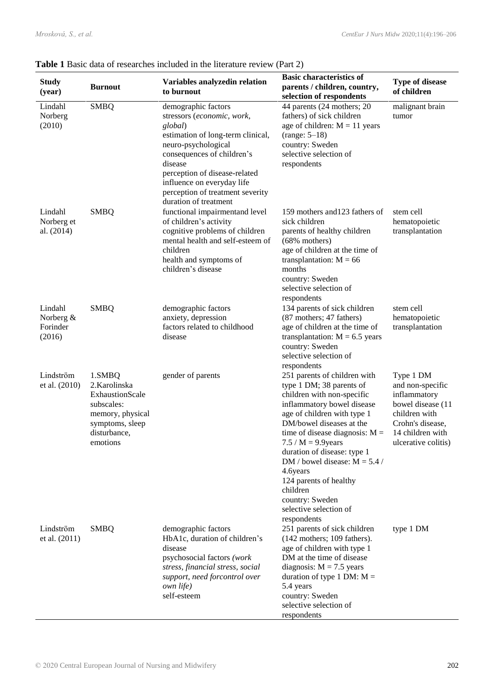| <b>Study</b><br>(year)                     | <b>Burnout</b>                                                                                                              | Variables analyzedin relation<br>to burnout                                                                                                                                                                                                                                                   | <b>Basic characteristics of</b><br>parents / children, country,<br>selection of respondents                                                                                                                                                                                                                                                                                                                                  | <b>Type of disease</b><br>of children                                                                                                              |
|--------------------------------------------|-----------------------------------------------------------------------------------------------------------------------------|-----------------------------------------------------------------------------------------------------------------------------------------------------------------------------------------------------------------------------------------------------------------------------------------------|------------------------------------------------------------------------------------------------------------------------------------------------------------------------------------------------------------------------------------------------------------------------------------------------------------------------------------------------------------------------------------------------------------------------------|----------------------------------------------------------------------------------------------------------------------------------------------------|
| Lindahl<br>Norberg<br>(2010)               | <b>SMBQ</b>                                                                                                                 | demographic factors<br>stressors (economic, work,<br>global)<br>estimation of long-term clinical,<br>neuro-psychological<br>consequences of children's<br>disease<br>perception of disease-related<br>influence on everyday life<br>perception of treatment severity<br>duration of treatment | 44 parents (24 mothers; 20<br>fathers) of sick children<br>age of children: $M = 11$ years<br>$(range: 5-18)$<br>country: Sweden<br>selective selection of<br>respondents                                                                                                                                                                                                                                                    | malignant brain<br>tumor                                                                                                                           |
| Lindahl<br>Norberg et<br>al. (2014)        | <b>SMBQ</b>                                                                                                                 | functional impairmentand level<br>of children's activity<br>cognitive problems of children<br>mental health and self-esteem of<br>children<br>health and symptoms of<br>children's disease                                                                                                    | 159 mothers and 123 fathers of<br>sick children<br>parents of healthy children<br>$(68\%$ mothers)<br>age of children at the time of<br>transplantation: $M = 66$<br>months<br>country: Sweden<br>selective selection of<br>respondents                                                                                                                                                                                      | stem cell<br>hematopoietic<br>transplantation                                                                                                      |
| Lindahl<br>Norberg &<br>Forinder<br>(2016) | <b>SMBQ</b>                                                                                                                 | demographic factors<br>anxiety, depression<br>factors related to childhood<br>disease                                                                                                                                                                                                         | 134 parents of sick children<br>(87 mothers; 47 fathers)<br>age of children at the time of<br>transplantation: $M = 6.5$ years<br>country: Sweden<br>selective selection of<br>respondents                                                                                                                                                                                                                                   | stem cell<br>hematopoietic<br>transplantation                                                                                                      |
| Lindström<br>et al. (2010)                 | 1.SMBQ<br>2. Karolinska<br>ExhaustionScale<br>subscales:<br>memory, physical<br>symptoms, sleep<br>disturbance,<br>emotions | gender of parents                                                                                                                                                                                                                                                                             | 251 parents of children with<br>type 1 DM; 38 parents of<br>children with non-specific<br>inflammatory bowel disease<br>age of children with type 1<br>DM/bowel diseases at the<br>time of disease diagnosis: $M =$<br>7.5 / $M = 9.9$ years<br>duration of disease: type 1<br>DM / bowel disease: $M = 5.4$ /<br>4.6years<br>124 parents of healthy<br>children<br>country: Sweden<br>selective selection of<br>respondents | Type 1 DM<br>and non-specific<br>inflammatory<br>bowel disease (11<br>children with<br>Crohn's disease,<br>14 children with<br>ulcerative colitis) |
| Lindström<br>et al. (2011)                 | <b>SMBQ</b>                                                                                                                 | demographic factors<br>HbA1c, duration of children's<br>disease<br>psychosocial factors (work<br>stress, financial stress, social<br>support, need forcontrol over<br><i>own life</i> )<br>self-esteem                                                                                        | 251 parents of sick children<br>$(142$ mothers; 109 fathers).<br>age of children with type 1<br>DM at the time of disease<br>diagnosis: $M = 7.5$ years<br>duration of type 1 DM: $M =$<br>5.4 years<br>country: Sweden<br>selective selection of<br>respondents                                                                                                                                                             | type 1 DM                                                                                                                                          |

#### **Table 1** Basic data of researches included in the literature review (Part 2)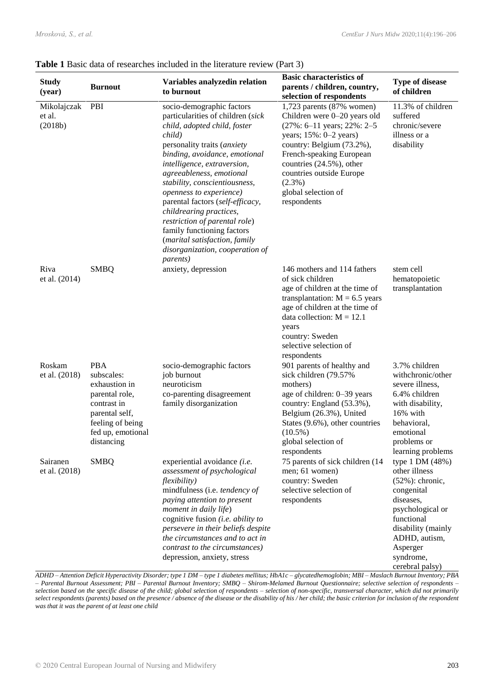|  | <b>Table 1</b> Basic data of researches included in the literature review (Part 3) |  |
|--|------------------------------------------------------------------------------------|--|
|--|------------------------------------------------------------------------------------|--|

| <b>Study</b><br>(year)           | <b>Burnout</b>                                                                                                                                      | Variables analyzedin relation<br>to burnout                                                                                                                                                                                                                                                                                                                                                                                                                                                                           | <b>Basic characteristics of</b><br>parents / children, country,<br>selection of respondents                                                                                                                                                                                                                 | <b>Type of disease</b><br>of children                                                                                                                                                                   |
|----------------------------------|-----------------------------------------------------------------------------------------------------------------------------------------------------|-----------------------------------------------------------------------------------------------------------------------------------------------------------------------------------------------------------------------------------------------------------------------------------------------------------------------------------------------------------------------------------------------------------------------------------------------------------------------------------------------------------------------|-------------------------------------------------------------------------------------------------------------------------------------------------------------------------------------------------------------------------------------------------------------------------------------------------------------|---------------------------------------------------------------------------------------------------------------------------------------------------------------------------------------------------------|
| Mikolajczak<br>et al.<br>(2018b) | PBI                                                                                                                                                 | socio-demographic factors<br>particularities of children (sick<br>child, adopted child, foster<br>child)<br>personality traits (anxiety<br>binding, avoidance, emotional<br>intelligence, extraversion,<br>agreeableness, emotional<br>stability, conscientiousness,<br>openness to experience)<br>parental factors (self-efficacy,<br>childrearing practices,<br>restriction of parental role)<br>family functioning factors<br>(marital satisfaction, family<br>disorganization, cooperation of<br><i>parents</i> ) | $1,723$ parents $(87\%$ women)<br>Children were 0-20 years old<br>$(27\%: 6-11 \text{ years}; 22\%: 2-5)$<br>years; $15\% : 0-2$ years)<br>country: Belgium (73.2%),<br>French-speaking European<br>countries (24.5%), other<br>countries outside Europe<br>$(2.3\%)$<br>global selection of<br>respondents | 11.3% of children<br>suffered<br>chronic/severe<br>illness or a<br>disability                                                                                                                           |
| Riva<br>et al. (2014)            | <b>SMBQ</b>                                                                                                                                         | anxiety, depression                                                                                                                                                                                                                                                                                                                                                                                                                                                                                                   | 146 mothers and 114 fathers<br>of sick children<br>age of children at the time of<br>transplantation: $M = 6.5$ years<br>age of children at the time of<br>data collection: $M = 12.1$<br>years<br>country: Sweden<br>selective selection of<br>respondents                                                 | stem cell<br>hematopoietic<br>transplantation                                                                                                                                                           |
| Roskam<br>et al. (2018)          | <b>PBA</b><br>subscales:<br>exhaustion in<br>parental role,<br>contrast in<br>parental self,<br>feeling of being<br>fed up, emotional<br>distancing | socio-demographic factors<br>job burnout<br>neuroticism<br>co-parenting disagreement<br>family disorganization                                                                                                                                                                                                                                                                                                                                                                                                        | 901 parents of healthy and<br>sick children (79.57%)<br>mothers)<br>age of children: 0-39 years<br>country: England (53.3%),<br>Belgium (26.3%), United<br>States (9.6%), other countries<br>$(10.5\%)$<br>global selection of<br>respondents                                                               | 3.7% children<br>withchronic/other<br>severe illness,<br>6.4% children<br>with disability,<br>16% with<br>behavioral,<br>emotional<br>problems or<br>learning problems                                  |
| Sairanen<br>et al. (2018)        | <b>SMBQ</b>                                                                                                                                         | experiential avoidance (i.e.<br>assessment of psychological<br><i>flexibility</i> )<br>mindfulness (i.e. tendency of<br>paying attention to present<br>moment in daily life)<br>cognitive fusion (i.e. ability to<br>persevere in their beliefs despite<br>the circumstances and to act in<br>contrast to the circumstances)<br>depression, anxiety, stress                                                                                                                                                           | 75 parents of sick children (14<br>men; 61 women)<br>country: Sweden<br>selective selection of<br>respondents                                                                                                                                                                                               | type 1 DM (48%)<br>other illness<br>$(52\%)$ : chronic,<br>congenital<br>diseases,<br>psychological or<br>functional<br>disability (mainly<br>ADHD, autism,<br>Asperger<br>syndrome,<br>cerebral palsy) |

*ADHD – Attention Deficit Hyperactivity Disorder; type 1 DM – type 1 diabetes mellitus; HbA1c – glycatedhemoglobin; MBI – Maslach Burnout Inventory; PBA – Parental Burnout Assessment; PBI – Parental Burnout Inventory; SMBQ – Shirom-Melamed Burnout Questionnaire; selective selection of respondents – selection based on the specific disease of the child; global selection of respondents – selection of non-specific, transversal character, which did not primarily select respondents (parents) based on the presence / absence of the disease or the disability of his / her child; the basic criterion for inclusion of the respondent was that it was the parent of at least one child*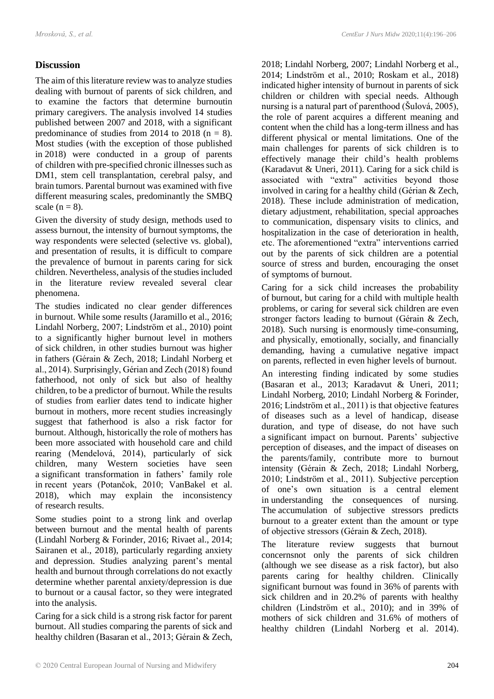# **Discussion**

The aim of this literature review was to analyze studies dealing with burnout of parents of sick children, and to examine the factors that determine burnoutin primary caregivers. The analysis involved 14 studies published between 2007 and 2018, with a significant predominance of studies from 2014 to 2018 ( $n = 8$ ). Most studies (with the exception of those published in 2018) were conducted in a group of parents of children with pre-specified chronic illnesses such as DM1, stem cell transplantation, cerebral palsy, and brain tumors. Parental burnout was examined with five different measuring scales, predominantly the SMBQ scale  $(n = 8)$ .

Given the diversity of study design, methods used to assess burnout, the intensity of burnout symptoms, the way respondents were selected (selective vs. global), and presentation of results, it is difficult to compare the prevalence of burnout in parents caring for sick children. Nevertheless, analysis of the studies included in the literature review revealed several clear phenomena.

The studies indicated no clear gender differences in burnout. While some results (Jaramillo et al., 2016; Lindahl Norberg, 2007; Lindström et al., 2010) point to a significantly higher burnout level in mothers of sick children, in other studies burnout was higher in fathers (Gérain & Zech, 2018; Lindahl Norberg et al., 2014). Surprisingly, Gérian and Zech (2018) found fatherhood, not only of sick but also of healthy children, to be a predictor of burnout. While the results of studies from earlier dates tend to indicate higher burnout in mothers, more recent studies increasingly suggest that fatherhood is also a risk factor for burnout. Although, historically the role of mothers has been more associated with household care and child rearing (Mendelová, 2014), particularly of sick children, many Western societies have seen a significant transformation in fathers' family role in recent years (Potančok, 2010; VanBakel et al. 2018), which may explain the inconsistency of research results.

Some studies point to a strong link and overlap between burnout and the mental health of parents (Lindahl Norberg & Forinder, 2016; Rivaet al., 2014; Sairanen et al., 2018), particularly regarding anxiety and depression. Studies analyzing parent's mental health and burnout through correlations do not exactly determine whether parental anxiety/depression is due to burnout or a causal factor, so they were integrated into the analysis.

Caring for a sick child is a strong risk factor for parent burnout. All studies comparing the parents of sick and healthy children (Basaran et al., 2013; Gérain & Zech,

2018; Lindahl Norberg, 2007; Lindahl Norberg et al., 2014; Lindström et al., 2010; Roskam et al., 2018) indicated higher intensity of burnout in parents of sick children or children with special needs. Although nursing is a natural part of parenthood (Šulová, 2005), the role of parent acquires a different meaning and content when the child has a long-term illness and has different physical or mental limitations. One of the main challenges for parents of sick children is to effectively manage their child's health problems (Karadavut & Uneri, 2011). Caring for a sick child is associated with "extra" activities beyond those involved in caring for a healthy child (Gérian & Zech, 2018). These include administration of medication, dietary adjustment, rehabilitation, special approaches to communication, dispensary visits to clinics, and hospitalization in the case of deterioration in health, etc. The aforementioned "extra" interventions carried out by the parents of sick children are a potential source of stress and burden, encouraging the onset of symptoms of burnout.

Caring for a sick child increases the probability of burnout, but caring for a child with multiple health problems, or caring for several sick children are even stronger factors leading to burnout (Gérain & Zech, 2018). Such nursing is enormously time-consuming, and physically, emotionally, socially, and financially demanding, having a cumulative negative impact on parents, reflected in even higher levels of burnout.

An interesting finding indicated by some studies (Basaran et al., 2013; Karadavut & Uneri, 2011; Lindahl Norberg, 2010; Lindahl Norberg & Forinder, 2016; Lindström et al., 2011) is that objective features of diseases such as a level of handicap, disease duration, and type of disease, do not have such a significant impact on burnout. Parents' subjective perception of diseases, and the impact of diseases on the parents/family, contribute more to burnout intensity (Gérain & Zech, 2018; Lindahl Norberg, 2010; Lindström et al., 2011). Subjective perception of one's own situation is a central element in understanding the consequences of nursing. The accumulation of subjective stressors predicts burnout to a greater extent than the amount or type of objective stressors (Gérain & Zech, 2018).

The literature review suggests that burnout concernsnot only the parents of sick children (although we see disease as a risk factor), but also parents caring for healthy children. Clinically significant burnout was found in 36% of parents with sick children and in 20.2% of parents with healthy children (Lindström et al., 2010); and in 39% of mothers of sick children and 31.6% of mothers of healthy children (Lindahl Norberg et al. 2014).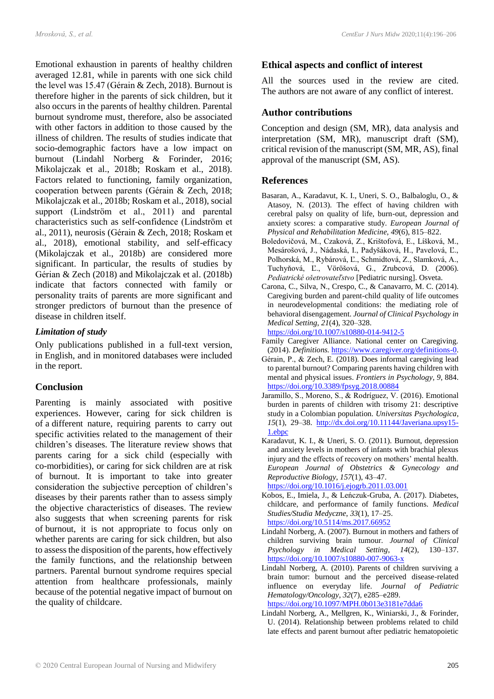Emotional exhaustion in parents of healthy children averaged 12.81, while in parents with one sick child the level was 15.47 (Gérain & Zech, 2018). Burnout is therefore higher in the parents of sick children, but it also occurs in the parents of healthy children. Parental burnout syndrome must, therefore, also be associated with other factors in addition to those caused by the illness of children. The results of studies indicate that socio-demographic factors have a low impact on burnout (Lindahl Norberg & Forinder, 2016; Mikolajczak et al., 2018b; Roskam et al., 2018). Factors related to functioning, family organization, cooperation between parents (Gérain & Zech, 2018; Mikolajczak et al., 2018b; Roskam et al., 2018), social support (Lindström et al., 2011) and parental characteristics such as self-confidence (Lindström et al., 2011), neurosis (Gérain & Zech, 2018; Roskam et al., 2018), emotional stability, and self-efficacy (Mikolajczak et al., 2018b) are considered more significant. In particular, the results of studies by Gérian & Zech (2018) and Mikolajczak et al. (2018b) indicate that factors connected with family or personality traits of parents are more significant and stronger predictors of burnout than the presence of disease in children itself.

#### *Limitation of study*

Only publications published in a full-text version, in English, and in monitored databases were included in the report.

#### **Conclusion**

Parenting is mainly associated with positive experiences. However, caring for sick children is of a different nature, requiring parents to carry out specific activities related to the management of their children's diseases. The literature review shows that parents caring for a sick child (especially with co-morbidities), or caring for sick children are at risk of burnout. It is important to take into greater consideration the subjective perception of children's diseases by their parents rather than to assess simply the objective characteristics of diseases. The review also suggests that when screening parents for risk of burnout, it is not appropriate to focus only on whether parents are caring for sick children, but also to assess the disposition of the parents, how effectively the family functions, and the relationship between partners. Parental burnout syndrome requires special attention from healthcare professionals, mainly because of the potential negative impact of burnout on the quality of childcare.

## **Ethical aspects and conflict of interest**

All the sources used in the review are cited. The authors are not aware of any conflict of interest.

#### **Author contributions**

Conception and design (SM, MR), data analysis and interpretation (SM, MR), manuscript draft (SM), critical revision of the manuscript (SM, MR, AS), final approval of the manuscript (SM, AS).

#### **References**

- Basaran, A., Karadavut, K. I., Uneri, S. O., Balbaloglu, O., & Atasoy, N. (2013). The effect of having children with cerebral palsy on quality of life, burn-out, depression and anxiety scores: a comparative study. *European Journal of Physical and Rehabilitation Medicine*, *49*(6), 815–822.
- Boledovičová, M., Czaková, Z., Krištofová, E., Líšková, M., Mesárošová, J., Nádaská, I., Padyšáková, H., Pavelová, Ľ., Polhorská, M., Rybárová, Ľ., Schmidtová, Z., Slamková, A., Tuchyňová, Ľ., Vöröšová, G., Zrubcová, D. (2006). *Pediatrické ošetrovateľstvo* [Pediatric nursing]. Osveta.
- Carona, C., Silva, N., Crespo, C., & Canavarro, M. C. (2014). Caregiving burden and parent-child quality of life outcomes in neurodevelopmental conditions: the mediating role of behavioral disengagement. *Journal of Clinical Psychology in Medical Setting*, *21*(4), 320–328.

<https://doi.org/10.1007/s10880-014-9412-5>

- Family Caregiver Alliance. National center on Caregiving. (2014). *Definitions.* [https://www.caregiver.org/definitions-0.](https://www.caregiver.org/definitions-0)
- Gérain, P., & Zech, E. (2018). Does informal caregiving lead to parental burnout? Comparing parents having children with mental and physical issues. *Frontiers in Psychology*, *9*, 884. <https://doi.org/10.3389/fpsyg.2018.00884>
- Jaramillo, S., Moreno, S., & Rodríguez, V. (2016). Emotional burden in parents of children with trisomy 21: descriptive study in a Colombian population. *Universitas Psychologica*, *15*(1), 29–38. [http://dx.doi.org/10.11144/Javeriana.upsy15-](http://dx.doi.org/10.11144/Javeriana.upsy15-1.ebpc) [1.ebpc](http://dx.doi.org/10.11144/Javeriana.upsy15-1.ebpc)
- Karadavut, K. I., & Uneri, S. O. (2011). Burnout, depression and anxiety levels in mothers of infants with brachial plexus injury and the effects of recovery on mothers' mental health. *European Journal of Obstetrics & Gynecology and Reproductive Biology*, *157*(1), 43–47. <https://doi.org/10.1016/j.ejogrb.2011.03.001>
- Kobos, E., Imiela, J., & Leńczuk-Gruba, A. (2017). Diabetes, childcare, and performance of family functions. *Medical Studies/Studia Medyczne*, *33*(1), 17–25. <https://doi.org/10.5114/ms.2017.66952>
- Lindahl Norberg, A. (2007). Burnout in mothers and fathers of children surviving brain tumour. *Journal of Clinical Psychology in Medical Setting*, *14*(2), 130–137. <https://doi.org/10.1007/s10880-007-9063-x>
- Lindahl Norberg, A. (2010). Parents of children surviving a brain tumor: burnout and the perceived disease-related influence on everyday life. *Journal of Pediatric Hematology/Oncology*, *32*(7), e285–e289. <https://doi.org/10.1097/MPH.0b013e3181e7dda6>
- Lindahl Norberg, A., Mellgren, K., Winiarski, J., & Forinder, U. (2014). Relationship between problems related to child late effects and parent burnout after pediatric hematopoietic